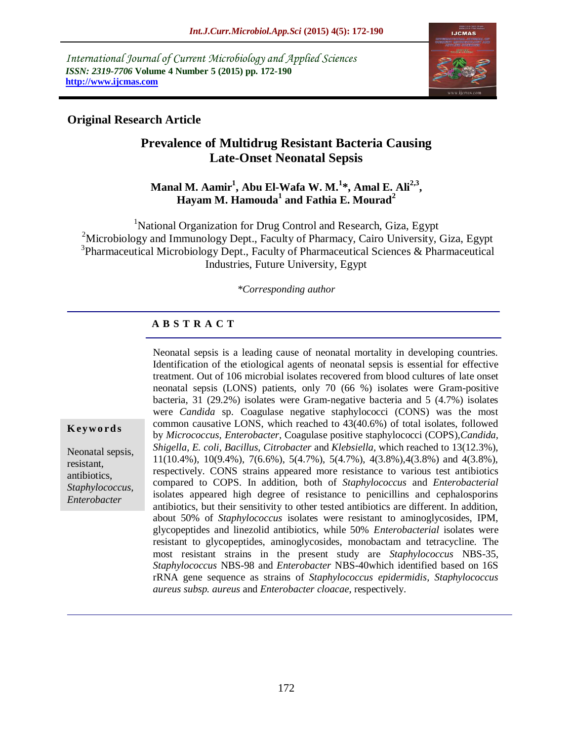*International Journal of Current Microbiology and Applied Sciences ISSN: 2319-7706* **Volume 4 Number 5 (2015) pp. 172-190 http://www.ijcmas.com** 



## **Original Research Article**

# **Prevalence of Multidrug Resistant Bacteria Causing Late-Onset Neonatal Sepsis**

## **Manal M. Aamir<sup>1</sup> , Abu El-Wafa W. M.<sup>1</sup> \*, Amal E. Ali2,3 , Hayam M. Hamouda<sup>1</sup> and Fathia E. Mourad<sup>2</sup>**

<sup>1</sup>National Organization for Drug Control and Research, Giza, Egypt <sup>2</sup>Microbiology and Immunology Dept., Faculty of Pharmacy, Cairo University, Giza, Egypt <sup>3</sup>Pharmaceutical Microbiology Dept., Faculty of Pharmaceutical Sciences & Pharmaceutical Industries, Future University, Egypt

*\*Corresponding author*

## **A B S T R A C T**

Neonatal sepsis is a leading cause of neonatal mortality in developing countries. Identification of the etiological agents of neonatal sepsis is essential for effective treatment. Out of 106 microbial isolates recovered from blood cultures of late onset neonatal sepsis (LONS) patients, only 70 (66 %) isolates were Gram-positive bacteria, 31 (29.2%) isolates were Gram-negative bacteria and 5 (4.7%) isolates were *Candida* sp. Coagulase negative staphylococci (CONS) was the most common causative LONS, which reached to 43(40.6%) of total isolates, followed by *Micrococcus, Enterobacter,* Coagulase positive staphylococci (COPS)*,Candida, Shigella*, *E. coli, Bacillus, Citrobacter* and *Klebsiella,* which reached to 13(12.3%), 11(10.4%), 10(9.4%), 7(6.6%), 5(4.7%), 5(4.7%), 4(3.8%),4(3.8%) and 4(3.8%), respectively. CONS strains appeared more resistance to various test antibiotics compared to COPS. In addition, both of *Staphylococcus* and *Enterobacterial* isolates appeared high degree of resistance to penicillins and cephalosporins antibiotics, but their sensitivity to other tested antibiotics are different. In addition, about 50% of *Staphylococcus* isolates were resistant to aminoglycosides, IPM, glycopeptides and linezolid antibiotics, while 50% *Enterobacterial* isolates were resistant to glycopeptides, aminoglycosides, monobactam and tetracycline. The most resistant strains in the present study are *Staphylococcus* NBS-35, *Staphylococcus* NBS-98 and *Enterobacter* NBS-40which identified based on 16S rRNA gene sequence as strains of *Staphylococcus epidermidis, Staphylococcus aureus subsp. aureus* and *Enterobacter cloacae*, respectively.

**K ey w o rd s**

Neonatal sepsis, resistant, antibiotics, *Staphylococcus, Enterobacter*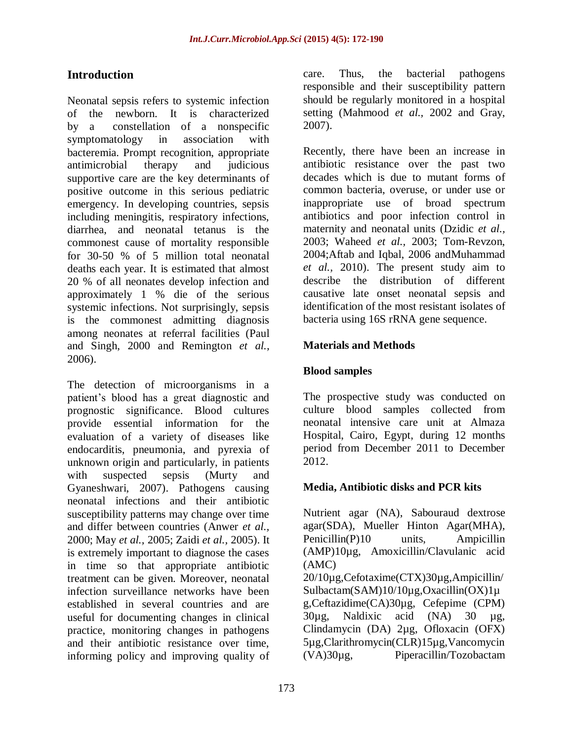# **Introduction**

Neonatal sepsis refers to systemic infection of the newborn. It is characterized by a constellation of a nonspecific symptomatology in association with bacteremia. Prompt recognition, appropriate antimicrobial therapy and judicious supportive care are the key determinants of positive outcome in this serious pediatric emergency. In developing countries, sepsis including meningitis, respiratory infections, diarrhea, and neonatal tetanus is the commonest cause of mortality responsible for 30-50 % of 5 million total neonatal deaths each year. It is estimated that almost 20 % of all neonates develop infection and approximately 1 % die of the serious systemic infections. Not surprisingly, sepsis is the commonest admitting diagnosis among neonates at referral facilities (Paul and Singh, 2000 and Remington *et al.,* 2006).

The detection of microorganisms in a patient's blood has a great diagnostic and prognostic significance. Blood cultures provide essential information for the evaluation of a variety of diseases like endocarditis, pneumonia, and pyrexia of unknown origin and particularly, in patients with suspected sepsis (Murty and Gyaneshwari, 2007). Pathogens causing neonatal infections and their antibiotic susceptibility patterns may change over time and differ between countries (Anwer *et al.,* 2000; May *et al.,* 2005; Zaidi *et al.,* 2005). It is extremely important to diagnose the cases in time so that appropriate antibiotic treatment can be given. Moreover, neonatal infection surveillance networks have been established in several countries and are useful for documenting changes in clinical practice, monitoring changes in pathogens and their antibiotic resistance over time, informing policy and improving quality of

care. Thus, the bacterial pathogens responsible and their susceptibility pattern should be regularly monitored in a hospital setting (Mahmood *et al.,* 2002 and Gray, 2007).

Recently, there have been an increase in antibiotic resistance over the past two decades which is due to mutant forms of common bacteria, overuse, or under use or inappropriate use of broad spectrum antibiotics and poor infection control in maternity and neonatal units (Dzidic *et al.,* 2003; Waheed *et al.,* 2003; Tom-Revzon, 2004;Aftab and Iqbal, 2006 andMuhammad *et al.,* 2010). The present study aim to describe the distribution of different causative late onset neonatal sepsis and identification of the most resistant isolates of bacteria using 16S rRNA gene sequence.

## **Materials and Methods**

## **Blood samples**

The prospective study was conducted on culture blood samples collected from neonatal intensive care unit at Almaza Hospital, Cairo, Egypt, during 12 months period from December 2011 to December 2012.

#### **Media, Antibiotic disks and PCR kits**

Nutrient agar (NA), Sabouraud dextrose agar(SDA), Mueller Hinton Agar(MHA), Penicillin(P)10 units, Ampicillin (AMP)10µg, Amoxicillin/Clavulanic acid (AMC) 20/10µg,Cefotaxime(CTX)30µg,Ampicillin/  $Subactam(SAM)10/10\mu$ g, Oxacillin(OX)1µ g,Ceftazidime(CA)30µg, Cefepime (CPM) 30µg, Naldixic acid (NA) 30 µg, Clindamycin (DA) 2µg, Ofloxacin (OFX) 5µg,Clarithromycin(CLR)15µg,Vancomycin (VA)30µg, Piperacillin/Tozobactam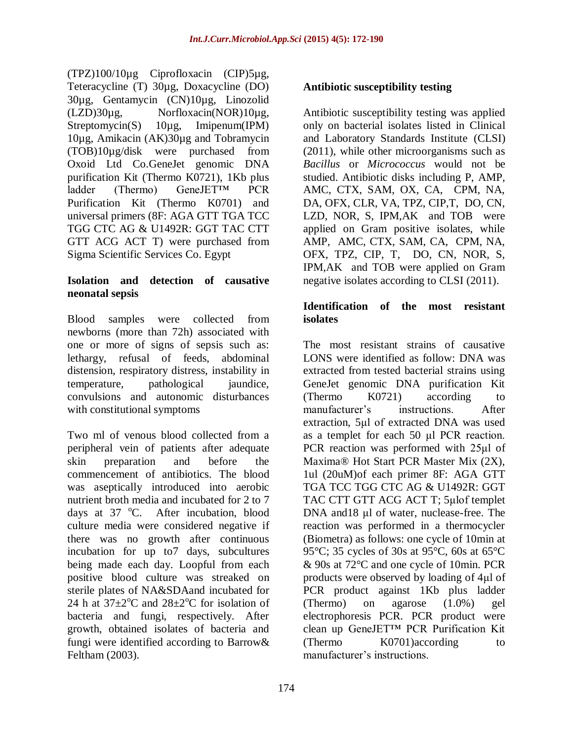(TPZ)100/10µg Ciprofloxacin (CIP)5µg, Teteracycline (T) 30µg, Doxacycline (DO) 30µg, Gentamycin (CN)10µg, Linozolid (LZD)30µg, Norfloxacin(NOR)10µg, Streptomycin(S) 10µg, Imipenum(IPM) 10µg, Amikacin (AK)30µg and Tobramycin (TOB)10µg/disk were purchased from Oxoid Ltd Co.GeneJet genomic DNA purification Kit (Thermo K0721), 1Kb plus ladder (Thermo) GeneJET™ PCR Purification Kit (Thermo K0701) and universal primers (8F: AGA GTT TGA TCC TGG CTC AG & U1492R: GGT TAC CTT GTT ACG ACT T) were purchased from Sigma Scientific Services Co. Egypt

#### **Isolation and detection of causative neonatal sepsis**

Blood samples were collected from newborns (more than 72h) associated with one or more of signs of sepsis such as: lethargy, refusal of feeds, abdominal distension, respiratory distress, instability in temperature, pathological jaundice, convulsions and autonomic disturbances with constitutional symptoms

Two ml of venous blood collected from a peripheral vein of patients after adequate skin preparation and before the commencement of antibiotics. The blood was aseptically introduced into aerobic nutrient broth media and incubated for 2 to 7 days at  $37 \text{ °C}$ . After incubation, blood culture media were considered negative if there was no growth after continuous incubation for up to7 days, subcultures being made each day. Loopful from each positive blood culture was streaked on sterile plates of NA&SDAand incubated for 24 h at  $37\pm2\degree$ C and  $28\pm2\degree$ C for isolation of bacteria and fungi, respectively. After growth, obtained isolates of bacteria and fungi were identified according to Barrow& Feltham (2003).

#### **Antibiotic susceptibility testing**

Antibiotic susceptibility testing was applied only on bacterial isolates listed in Clinical and Laboratory Standards Institute (CLSI) (2011), while other microorganisms such as *Bacillus* or *Micrococcus* would not be studied. Antibiotic disks including P, AMP, AMC, CTX, SAM, OX, CA, CPM, NA, DA, OFX, CLR, VA, TPZ, CIP,T, DO, CN, LZD, NOR, S, IPM,AK and TOB were applied on Gram positive isolates, while AMP, AMC, CTX, SAM, CA, CPM, NA, OFX, TPZ, CIP, T, DO, CN, NOR, S, IPM,AK and TOB were applied on Gram negative isolates according to CLSI (2011).

#### **Identification of the most resistant isolates**

The most resistant strains of causative LONS were identified as follow: DNA was extracted from tested bacterial strains using GeneJet genomic DNA purification Kit (Thermo K0721) according to manufacturer's instructions. After extraction, 5μl of extracted DNA was used as a templet for each 50 μl PCR reaction. PCR reaction was performed with 25μl of Maxima® Hot Start PCR Master Mix (2X), 1ul (20uM)of each primer 8F: AGA GTT TGA TCC TGG CTC AG & U1492R: GGT TAC CTT GTT ACG ACT T; 5μlof templet DNA and18 μl of water, nuclease-free. The reaction was performed in a thermocycler (Biometra) as follows: one cycle of 10min at 95°C; 35 cycles of 30s at 95°C, 60s at 65°C & 90s at 72°C and one cycle of 10min. PCR products were observed by loading of 4μl of PCR product against 1Kb plus ladder (Thermo) on agarose (1.0%) gel electrophoresis PCR. PCR product were clean up GeneJET™ PCR Purification Kit (Thermo K0701)according to manufacturer's instructions.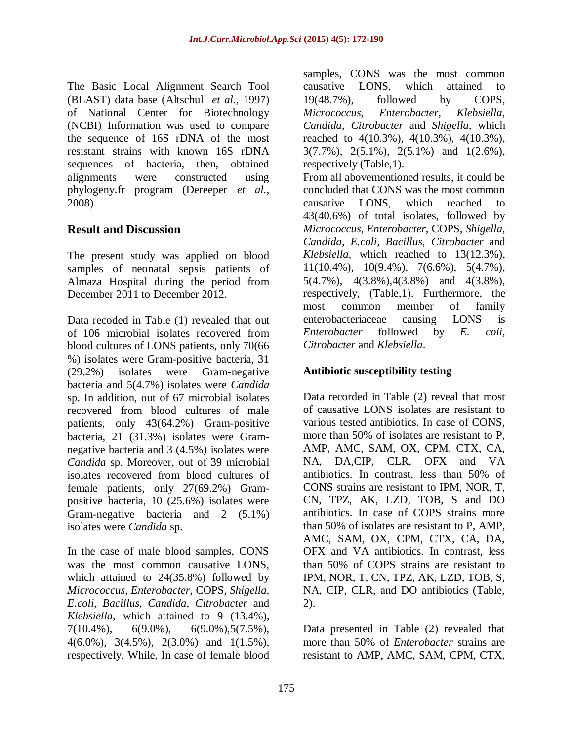The Basic Local Alignment Search Tool (BLAST) data base (Altschul *et al.,* 1997) of National Center for Biotechnology (NCBI) Information was used to compare the sequence of 16S rDNA of the most resistant strains with known 16S rDNA sequences of bacteria, then, obtained alignments were constructed using phylogeny.fr program (Dereeper *et al.,* 2008).

## **Result and Discussion**

The present study was applied on blood samples of neonatal sepsis patients of Almaza Hospital during the period from December 2011 to December 2012.

Data recoded in Table (1) revealed that out of 106 microbial isolates recovered from blood cultures of LONS patients, only 70(66 %) isolates were Gram-positive bacteria, 31 (29.2%) isolates were Gram-negative bacteria and 5(4.7%) isolates were *Candida* sp. In addition, out of 67 microbial isolates recovered from blood cultures of male patients, only 43(64.2%) Gram-positive bacteria, 21 (31.3%) isolates were Gramnegative bacteria and 3 (4.5%) isolates were *Candida* sp. Moreover, out of 39 microbial isolates recovered from blood cultures of female patients, only 27(69.2%) Grampositive bacteria, 10 (25.6%) isolates were Gram-negative bacteria and 2 (5.1%) isolates were *Candida* sp.

In the case of male blood samples, CONS was the most common causative LONS, which attained to 24(35.8%) followed by *Micrococcus, Enterobacter,* COPS*, Shigella, E.coli, Bacillus, Candida, Citrobacter* and *Klebsiella,* which attained to 9 (13.4%),  $7(10.4\%)$ ,  $6(9.0\%)$ ,  $6(9.0\%)$ ,  $5(7.5\%)$ , 4(6.0%), 3(4.5%), 2(3.0%) and 1(1.5%), respectively. While, In case of female blood

samples, CONS was the most common causative LONS, which attained to 19(48.7%), followed by COPS*, Micrococcus, Enterobacter, Klebsiella, Candida*, *Citrobacter* and *Shigella,* which reached to 4(10.3%), 4(10.3%), 4(10.3%), 3(7.7%), 2(5.1%), 2(5.1%) and 1(2.6%), respectively (Table,1). From all abovementioned results, it could be concluded that CONS was the most common causative LONS, which reached to 43(40.6%) of total isolates, followed by *Micrococcus, Enterobacter,* COPS*, Shigella*, *Candida, E.coli, Bacillus, Citrobacter* and *Klebsiella,* which reached to 13(12.3%), 11(10.4%), 10(9.4%), 7(6.6%), 5(4.7%), 5(4.7%), 4(3.8%),4(3.8%) and 4(3.8%), respectively, (Table,1). Furthermore, the most common member of family enterobacteriaceae causing LONS is *Enterobacter* followed by *E. coli, Citrobacter* and *Klebsiella*.

#### **Antibiotic susceptibility testing**

Data recorded in Table (2) reveal that most of causative LONS isolates are resistant to various tested antibiotics. In case of CONS, more than 50% of isolates are resistant to P, AMP, AMC, SAM, OX, CPM, CTX, CA, NA, DA,CIP, CLR, OFX and VA antibiotics. In contrast, less than 50% of CONS strains are resistant to IPM, NOR, T, CN, TPZ, AK, LZD, TOB, S and DO antibiotics. In case of COPS strains more than 50% of isolates are resistant to P, AMP, AMC, SAM, OX, CPM, CTX, CA, DA, OFX and VA antibiotics. In contrast, less than 50% of COPS strains are resistant to IPM, NOR, T, CN, TPZ, AK, LZD, TOB, S, NA, CIP, CLR, and DO antibiotics (Table, 2).

Data presented in Table (2) revealed that more than 50% of *Enterobacter* strains are resistant to AMP, AMC, SAM, CPM, CTX,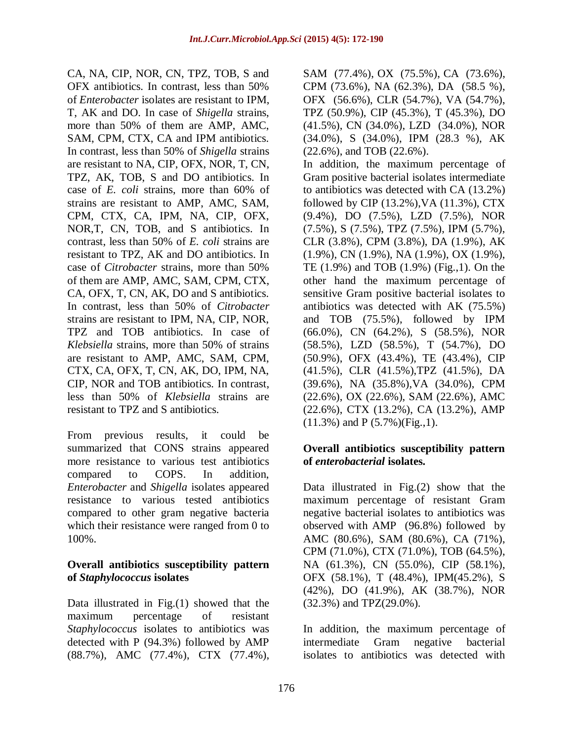CA, NA, CIP, NOR, CN, TPZ, TOB, S and OFX antibiotics. In contrast, less than 50% of *Enterobacter* isolates are resistant to IPM, T, AK and DO. In case of *Shigella* strains, more than 50% of them are AMP, AMC, SAM, CPM, CTX, CA and IPM antibiotics. In contrast, less than 50% of *Shigella* strains are resistant to NA, CIP, OFX, NOR, T, CN, TPZ, AK, TOB, S and DO antibiotics. In case of *E. coli* strains, more than 60% of strains are resistant to AMP, AMC, SAM, CPM, CTX, CA, IPM, NA, CIP, OFX, NOR,T, CN, TOB, and S antibiotics. In contrast, less than 50% of *E. coli* strains are resistant to TPZ, AK and DO antibiotics. In case of *Citrobacter* strains, more than 50% of them are AMP, AMC, SAM, CPM, CTX, CA, OFX, T, CN, AK, DO and S antibiotics. In contrast, less than 50% of *Citrobacter* strains are resistant to IPM, NA, CIP, NOR, TPZ and TOB antibiotics. In case of *Klebsiella* strains, more than 50% of strains are resistant to AMP, AMC, SAM, CPM, CTX, CA, OFX, T, CN, AK, DO, IPM, NA, CIP, NOR and TOB antibiotics. In contrast, less than 50% of *Klebsiella* strains are resistant to TPZ and S antibiotics.

From previous results, it could be summarized that CONS strains appeared more resistance to various test antibiotics compared to COPS. In addition, *Enterobacter* and *Shigella* isolates appeared resistance to various tested antibiotics compared to other gram negative bacteria which their resistance were ranged from 0 to 100%.

## **Overall antibiotics susceptibility pattern of** *Staphylococcus* **isolates**

Data illustrated in Fig.(1) showed that the maximum percentage of resistant *Staphylococcus* isolates to antibiotics was detected with P (94.3%) followed by AMP (88.7%), AMC (77.4%), CTX (77.4%),

SAM (77.4%), OX (75.5%), CA (73.6%), CPM (73.6%), NA (62.3%), DA (58.5 %), OFX (56.6%), CLR (54.7%), VA (54.7%), TPZ (50.9%), CIP (45.3%), T (45.3%), DO (41.5%), CN (34.0%), LZD (34.0%), NOR (34.0%), S (34.0%), IPM (28.3 %), AK (22.6%), and TOB (22.6%).

In addition, the maximum percentage of Gram positive bacterial isolates intermediate to antibiotics was detected with CA (13.2%) followed by CIP (13.2%),VA (11.3%), CTX (9.4%), DO (7.5%), LZD (7.5%), NOR (7.5%), S (7.5%), TPZ (7.5%), IPM (5.7%), CLR (3.8%), CPM (3.8%), DA (1.9%), AK (1.9%), CN (1.9%), NA (1.9%), OX (1.9%), TE (1.9%) and TOB (1.9%) (Fig.,1). On the other hand the maximum percentage of sensitive Gram positive bacterial isolates to antibiotics was detected with AK (75.5%) and TOB (75.5%), followed by IPM (66.0%), CN (64.2%), S (58.5%), NOR (58.5%), LZD (58.5%), T (54.7%), DO (50.9%), OFX (43.4%), TE (43.4%), CIP (41.5%), CLR (41.5%),TPZ (41.5%), DA (39.6%), NA (35.8%),VA (34.0%), CPM (22.6%), OX (22.6%), SAM (22.6%), AMC (22.6%), CTX (13.2%), CA (13.2%), AMP  $(11.3\%)$  and P  $(5.7\%)$  (Fig., 1).

## **Overall antibiotics susceptibility pattern of** *enterobacterial* **isolates.**

Data illustrated in Fig.(2) show that the maximum percentage of resistant Gram negative bacterial isolates to antibiotics was observed with AMP (96.8%) followed by AMC (80.6%), SAM (80.6%), CA (71%), CPM (71.0%), CTX (71.0%), TOB (64.5%), NA (61.3%), CN (55.0%), CIP (58.1%), OFX (58.1%), T (48.4%), IPM(45.2%), S (42%), DO (41.9%), AK (38.7%), NOR (32.3%) and TPZ(29.0%).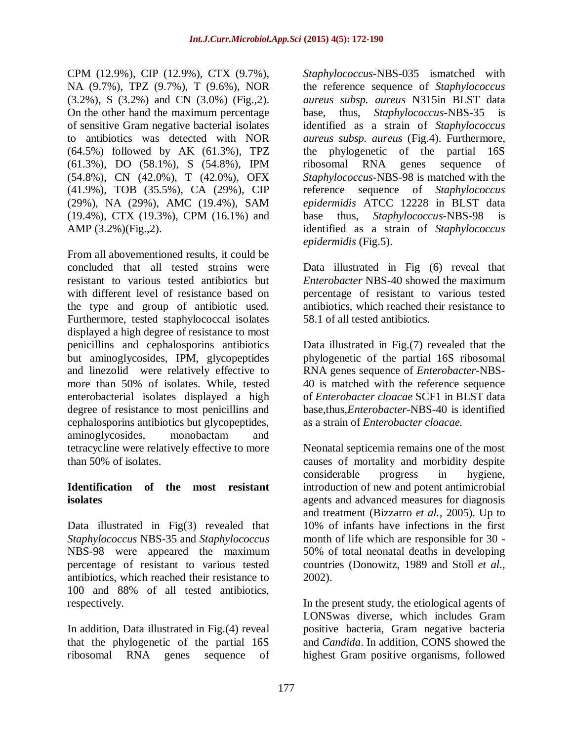CPM (12.9%), CIP (12.9%), CTX (9.7%), NA (9.7%), TPZ (9.7%), T (9.6%), NOR (3.2%), S (3.2%) and CN (3.0%) (Fig.,2). On the other hand the maximum percentage of sensitive Gram negative bacterial isolates to antibiotics was detected with NOR (64.5%) followed by AK (61.3%), TPZ (61.3%), DO (58.1%), S (54.8%), IPM (54.8%), CN (42.0%), T (42.0%), OFX (41.9%), TOB (35.5%), CA (29%), CIP (29%), NA (29%), AMC (19.4%), SAM (19.4%), CTX (19.3%), CPM (16.1%) and AMP (3.2%)(Fig.,2).

From all abovementioned results, it could be concluded that all tested strains were resistant to various tested antibiotics but with different level of resistance based on the type and group of antibiotic used. Furthermore, tested staphylococcal isolates displayed a high degree of resistance to most penicillins and cephalosporins antibiotics but aminoglycosides, IPM, glycopeptides and linezolid were relatively effective to more than 50% of isolates. While, tested enterobacterial isolates displayed a high degree of resistance to most penicillins and cephalosporins antibiotics but glycopeptides, aminoglycosides, monobactam and tetracycline were relatively effective to more than 50% of isolates.

## **Identification of the most resistant isolates**

Data illustrated in Fig(3) revealed that *Staphylococcus* NBS-35 and *Staphylococcus*  NBS-98 were appeared the maximum percentage of resistant to various tested antibiotics, which reached their resistance to 100 and 88% of all tested antibiotics, respectively.

In addition, Data illustrated in Fig.(4) reveal that the phylogenetic of the partial 16S ribosomal RNA genes sequence of

*Staphylococcus*-NBS-035 ismatched with the reference sequence of *Staphylococcus aureus subsp. aureus* N315in BLST data base, thus, *Staphylococcus*-NBS-35 is identified as a strain of *Staphylococcus aureus subsp. aureus* (Fig.4). Furthermore, the phylogenetic of the partial 16S ribosomal RNA genes sequence of *Staphylococcus*-NBS-98 is matched with the reference sequence of *Staphylococcus epidermidis* ATCC 12228 in BLST data base thus, *Staphylococcus*-NBS-98 is identified as a strain of *Staphylococcus epidermidis* (Fig.5).

Data illustrated in Fig (6) reveal that *Enterobacter* NBS-40 showed the maximum percentage of resistant to various tested antibiotics, which reached their resistance to 58.1 of all tested antibiotics.

Data illustrated in Fig.(7) revealed that the phylogenetic of the partial 16S ribosomal RNA genes sequence of *Enterobacter*-NBS-40 is matched with the reference sequence of *Enterobacter cloacae* SCF1 in BLST data base,thus,*Enterobacter*-NBS-40 is identified as a strain of *Enterobacter cloacae.* 

Neonatal septicemia remains one of the most causes of mortality and morbidity despite considerable progress in hygiene, introduction of new and potent antimicrobial agents and advanced measures for diagnosis and treatment (Bizzarro *et al.,* 2005). Up to 10% of infants have infections in the first month of life which are responsible for 30 - 50% of total neonatal deaths in developing countries (Donowitz, 1989 and Stoll *et al.,* 2002).

In the present study, the etiological agents of LONSwas diverse, which includes Gram positive bacteria, Gram negative bacteria and *Candida*. In addition, CONS showed the highest Gram positive organisms, followed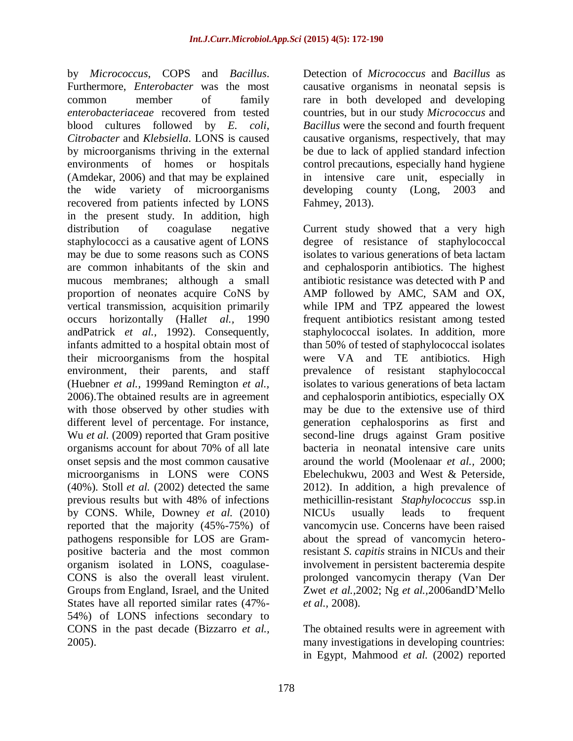by *Micrococcus*, COPS and *Bacillus*. Furthermore, *Enterobacter* was the most common member of family *enterobacteriaceae* recovered from tested blood cultures followed by *E. coli*, *Citrobacter* and *Klebsiella*. LONS is caused by microorganisms thriving in the external environments of homes or hospitals (Amdekar, 2006) and that may be explained the wide variety of microorganisms recovered from patients infected by LONS in the present study. In addition, high distribution of coagulase negative staphylococci as a causative agent of LONS may be due to some reasons such as CONS are common inhabitants of the skin and mucous membranes; although a small proportion of neonates acquire CoNS by vertical transmission, acquisition primarily occurs horizontally (Hall*et al.,* 1990 andPatrick *et al.,* 1992). Consequently, infants admitted to a hospital obtain most of their microorganisms from the hospital environment, their parents, and staff (Huebner *et al.,* 1999and Remington *et al.,* 2006).The obtained results are in agreement with those observed by other studies with different level of percentage. For instance, Wu *et al.* (2009) reported that Gram positive organisms account for about 70% of all late onset sepsis and the most common causative microorganisms in LONS were CONS (40%). Stoll *et al.* (2002) detected the same previous results but with 48% of infections by CONS. While, Downey *et al.* (2010) reported that the majority (45%-75%) of pathogens responsible for LOS are Grampositive bacteria and the most common organism isolated in LONS, coagulase-CONS is also the overall least virulent. Groups from England, Israel, and the United States have all reported similar rates (47%- 54%) of LONS infections secondary to CONS in the past decade (Bizzarro *et al.,* 2005).

Detection of *Micrococcus* and *Bacillus* as causative organisms in neonatal sepsis is rare in both developed and developing countries, but in our study *Micrococcus* and *Bacillus* were the second and fourth frequent causative organisms, respectively, that may be due to lack of applied standard infection control precautions, especially hand hygiene in intensive care unit, especially in developing county (Long, 2003 and Fahmey, 2013).

Current study showed that a very high degree of resistance of staphylococcal isolates to various generations of beta lactam and cephalosporin antibiotics. The highest antibiotic resistance was detected with P and AMP followed by AMC, SAM and OX, while IPM and TPZ appeared the lowest frequent antibiotics resistant among tested staphylococcal isolates. In addition, more than 50% of tested of staphylococcal isolates were VA and TE antibiotics. High prevalence of resistant staphylococcal isolates to various generations of beta lactam and cephalosporin antibiotics, especially OX may be due to the extensive use of third generation cephalosporins as first and second-line drugs against Gram positive bacteria in neonatal intensive care units around the world (Moolenaar *et al.,* 2000; Ebelechukwu, 2003 and West & Peterside, 2012). In addition, a high prevalence of methicillin-resistant *Staphylococcus* ssp.in NICUs usually leads to frequent vancomycin use. Concerns have been raised about the spread of vancomycin heteroresistant *S. capitis* strains in NICUs and their involvement in persistent bacteremia despite prolonged vancomycin therapy (Van Der Zwet *et al.,*2002; Ng *et al.,*2006andD'Mello *et al.,* 2008).

The obtained results were in agreement with many investigations in developing countries: in Egypt, Mahmood *et al.* (2002) reported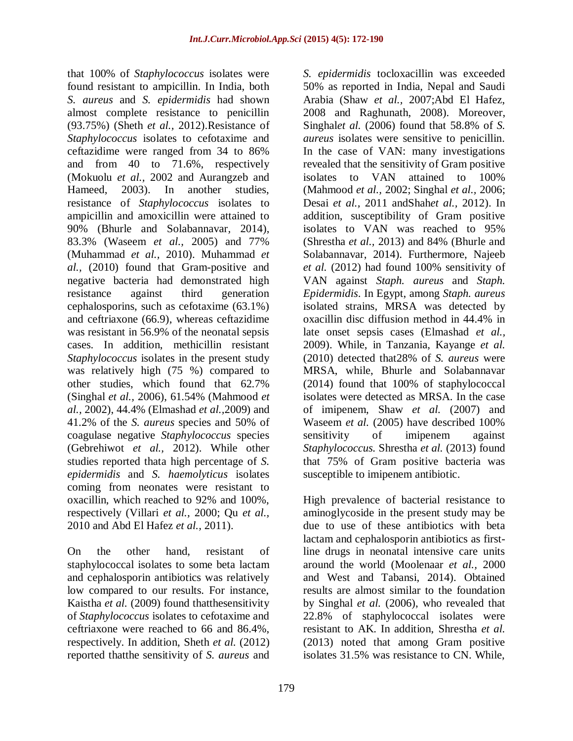that 100% of *Staphylococcus* isolates were found resistant to ampicillin. In India, both *S. aureus* and *S. epidermidis* had shown almost complete resistance to penicillin (93.75%) (Sheth *et al.,* 2012).Resistance of *Staphylococcus* isolates to cefotaxime and ceftazidime were ranged from 34 to 86% and from 40 to 71.6%, respectively (Mokuolu *et al.,* 2002 and Aurangzeb and Hameed, 2003). In another studies, resistance of *Staphylococcus* isolates to ampicillin and amoxicillin were attained to 90% (Bhurle and Solabannavar*,* 2014), 83.3% (Waseem *et al.,* 2005) and 77% (Muhammad *et al.,* 2010). Muhammad *et al.,* (2010) found that Gram-positive and negative bacteria had demonstrated high resistance against third generation cephalosporins, such as cefotaxime (63.1%) and ceftriaxone (66.9), whereas ceftazidime was resistant in 56.9% of the neonatal sepsis cases. In addition, methicillin resistant *Staphylococcus* isolates in the present study was relatively high (75 %) compared to other studies, which found that 62.7% (Singhal *et al.,* 2006), 61.54% (Mahmood *et al.,* 2002), 44.4% (Elmashad *et al.,*2009) and 41.2% of the *S. aureus* species and 50% of coagulase negative *Staphylococcus* species (Gebrehiwot *et al.,* 2012). While other studies reported thata high percentage of *S. epidermidis* and *S. haemolyticus* isolates coming from neonates were resistant to oxacillin, which reached to 92% and 100%, respectively (Villari *et al.,* 2000; Qu *et al.,* 2010 and Abd El Hafez *et al.,* 2011).

On the other hand, resistant of staphylococcal isolates to some beta lactam and cephalosporin antibiotics was relatively low compared to our results. For instance, Kaistha *et al.* (2009) found that the sensitivity of *Staphylococcus* isolates to cefotaxime and ceftriaxone were reached to 66 and 86.4%, respectively. In addition, Sheth *et al.* (2012) reported thatthe sensitivity of *S. aureus* and

*S. epidermidis* tocloxacillin was exceeded 50% as reported in India, Nepal and Saudi Arabia (Shaw *et al.,* 2007;Abd El Hafez, 2008 and Raghunath, 2008). Moreover, Singhal*et al.* (2006) found that 58.8% of *S. aureus* isolates were sensitive to penicillin. In the case of VAN: many investigations revealed that the sensitivity of Gram positive isolates to VAN attained to 100% (Mahmood *et al.,* 2002; Singhal *et al.,* 2006; Desai *et al.,* 2011 andShah*et al.,* 2012). In addition, susceptibility of Gram positive isolates to VAN was reached to 95% (Shrestha *et al.,* 2013) and 84% (Bhurle and Solabannavar, 2014). Furthermore, Najeeb *et al.* (2012) had found 100% sensitivity of VAN against *Staph. aureus* and *Staph. Epidermidis*. In Egypt, among *Staph. aureus*  isolated strains*,* MRSA was detected by oxacillin disc diffusion method in 44.4% in late onset sepsis cases (Elmashad *et al.,* 2009). While, in Tanzania, Kayange *et al.*  (2010) detected that28% of *S. aureus* were MRSA, while, Bhurle and Solabannavar (2014) found that 100% of staphylococcal isolates were detected as MRSA. In the case of imipenem, Shaw *et al.* (2007) and Waseem *et al.* (2005) have described 100% sensitivity of imipenem against *Staphylococcus.* Shrestha *et al.* (2013) found that 75% of Gram positive bacteria was susceptible to imipenem antibiotic.

High prevalence of bacterial resistance to aminoglycoside in the present study may be due to use of these antibiotics with beta lactam and cephalosporin antibiotics as firstline drugs in neonatal intensive care units around the world (Moolenaar *et al.,* 2000 and West and Tabansi, 2014). Obtained results are almost similar to the foundation by Singhal *et al.* (2006), who revealed that 22.8% of staphylococcal isolates were resistant to AK. In addition, Shrestha *et al.*  (2013) noted that among Gram positive isolates 31.5% was resistance to CN. While,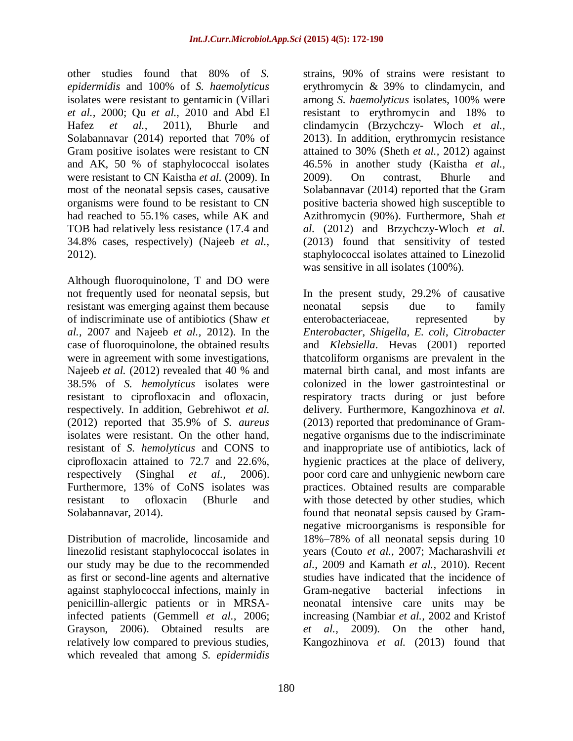other studies found that 80% of *S. epidermidis* and 100% of *S. haemolyticus* isolates were resistant to gentamicin (Villari *et al.,* 2000; Qu *et al.,* 2010 and Abd El Hafez *et al.,* 2011), Bhurle and Solabannavar (2014) reported that 70% of Gram positive isolates were resistant to CN and AK, 50 % of staphylococcal isolates were resistant to CN Kaistha *et al.* (2009). In most of the neonatal sepsis cases, causative organisms were found to be resistant to CN had reached to 55.1% cases, while AK and TOB had relatively less resistance (17.4 and 34.8% cases, respectively) (Najeeb *et al.,* 2012).

Although fluoroquinolone*,* T and DO were not frequently used for neonatal sepsis, but resistant was emerging against them because of indiscriminate use of antibiotics (Shaw *et al.,* 2007 and Najeeb *et al.,* 2012). In the case of fluoroquinolone, the obtained results were in agreement with some investigations, Najeeb *et al.* (2012) revealed that 40 % and 38.5% of *S. hemolyticus* isolates were resistant to ciprofloxacin and ofloxacin, respectively. In addition, Gebrehiwot *et al.*  (2012) reported that 35.9% of *S. aureus* isolates were resistant. On the other hand, resistant of *S. hemolyticus* and CONS to ciprofloxacin attained to 72.7 and 22.6%, respectively (Singhal *et al.,* 2006). Furthermore, 13% of CoNS isolates was resistant to ofloxacin (Bhurle and Solabannavar, 2014).

Distribution of macrolide, lincosamide and linezolid resistant staphylococcal isolates in our study may be due to the recommended as first or second-line agents and alternative against staphylococcal infections, mainly in penicillin-allergic patients or in MRSAinfected patients (Gemmell *et al.,* 2006; Grayson, 2006). Obtained results are relatively low compared to previous studies, which revealed that among *S. epidermidis* 

strains, 90% of strains were resistant to erythromycin & 39% to clindamycin, and among *S. haemolyticus* isolates, 100% were resistant to erythromycin and 18% to clindamycin (Brzychczy- Wloch *et al.,* 2013). In addition, erythromycin resistance attained to 30% (Sheth *et al.,* 2012) against 46.5% in another study (Kaistha *et al.,* 2009). On contrast, Bhurle and Solabannavar (2014) reported that the Gram positive bacteria showed high susceptible to Azithromycin (90%). Furthermore, Shah *et al.* (2012) and Brzychczy-Wloch *et al.*  (2013) found that sensitivity of tested staphylococcal isolates attained to Linezolid was sensitive in all isolates (100%).

In the present study, 29.2% of causative neonatal sepsis due to family enterobacteriaceae, represented by *Enterobacter*, *Shigella*, *E. coli*, *Citrobacter* and *Klebsiella*. Hevas (2001) reported thatcoliform organisms are prevalent in the maternal birth canal, and most infants are colonized in the lower gastrointestinal or respiratory tracts during or just before delivery. Furthermore, Kangozhinova *et al.*  (2013) reported that predominance of Gramnegative organisms due to the indiscriminate and inappropriate use of antibiotics, lack of hygienic practices at the place of delivery, poor cord care and unhygienic newborn care practices. Obtained results are comparable with those detected by other studies, which found that neonatal sepsis caused by Gramnegative microorganisms is responsible for 18%–78% of all neonatal sepsis during 10 years (Couto *et al.,* 2007; Macharashvili *et al.,* 2009 and Kamath *et al.,* 2010). Recent studies have indicated that the incidence of Gram-negative bacterial infections in neonatal intensive care units may be increasing (Nambiar *et al.,* 2002 and Kristof *et al.,* 2009). On the other hand, Kangozhinova *et al.* (2013) found that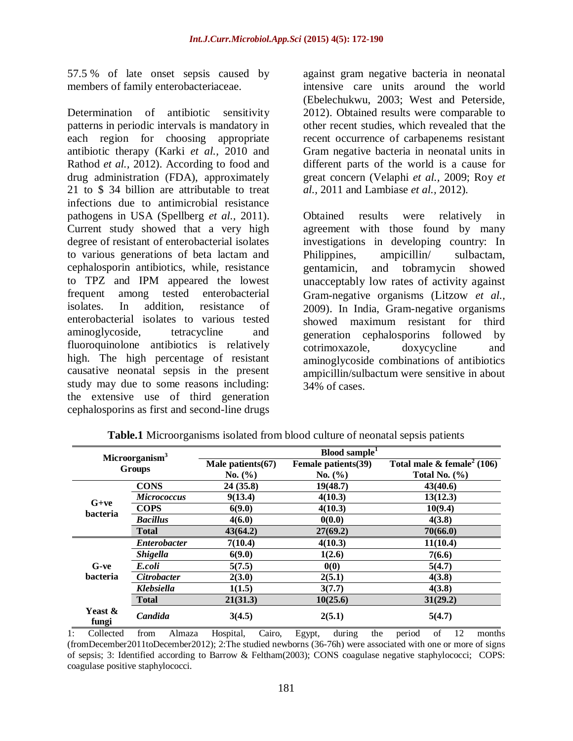57.5 % of late onset sepsis caused by members of family enterobacteriaceae.

Determination of antibiotic sensitivity patterns in periodic intervals is mandatory in each region for choosing appropriate antibiotic therapy (Karki *et al.,* 2010 and Rathod *et al.,* 2012). According to food and drug administration (FDA), approximately 21 to \$ 34 billion are attributable to treat infections due to antimicrobial resistance pathogens in USA (Spellberg *et al.,* 2011). Current study showed that a very high degree of resistant of enterobacterial isolates to various generations of beta lactam and cephalosporin antibiotics, while, resistance to TPZ and IPM appeared the lowest frequent among tested enterobacterial isolates. In addition, resistance of enterobacterial isolates to various tested aminoglycoside, tetracycline and fluoroquinolone antibiotics is relatively high. The high percentage of resistant causative neonatal sepsis in the present study may due to some reasons including: the extensive use of third generation cephalosporins as first and second-line drugs

against gram negative bacteria in neonatal intensive care units around the world (Ebelechukwu, 2003; West and Peterside, 2012). Obtained results were comparable to other recent studies, which revealed that the recent occurrence of carbapenems resistant Gram negative bacteria in neonatal units in different parts of the world is a cause for great concern (Velaphi *et al.,* 2009; Roy *et al.,* 2011 and Lambiase *et al.,* 2012).

Obtained results were relatively in agreement with those found by many investigations in developing country: In Philippines, ampicillin/ sulbactam, gentamicin, and tobramycin showed unacceptably low rates of activity against Gram-negative organisms (Litzow *et al.,* 2009). In India, Gram-negative organisms showed maximum resistant for third generation cephalosporins followed by cotrimoxazole, doxycycline and aminoglycoside combinations of antibiotics ampicillin/sulbactum were sensitive in about 34% of cases.

| Microorganism <sup>3</sup><br><b>Groups</b> |                     | Blood sample <sup>1</sup> |                     |                                        |  |  |  |
|---------------------------------------------|---------------------|---------------------------|---------------------|----------------------------------------|--|--|--|
|                                             |                     | Male patients $(67)$      | Female patients(39) | Total male & female <sup>2</sup> (106) |  |  |  |
|                                             |                     | No. $(\% )$               | No. $(\% )$         | Total No. $(\%)$                       |  |  |  |
| $G+ve$<br><b>bacteria</b>                   | <b>CONS</b>         | 24(35.8)                  | 19(48.7)            | 43(40.6)                               |  |  |  |
|                                             | <b>Micrococcus</b>  | 9(13.4)                   | 4(10.3)             | 13(12.3)                               |  |  |  |
|                                             | <b>COPS</b>         | 6(9.0)                    | 4(10.3)             | 10(9.4)                                |  |  |  |
|                                             | <b>Bacillus</b>     | 4(6.0)                    | 0(0.0)              | 4(3.8)                                 |  |  |  |
|                                             | <b>Total</b>        | 43(64.2)                  | 27(69.2)            | 70(66.0)                               |  |  |  |
| $G-ve$<br><b>bacteria</b>                   | <b>Enterobacter</b> | 7(10.4)                   | 4(10.3)             | 11(10.4)                               |  |  |  |
|                                             | <b>Shigella</b>     | 6(9.0)                    | 1(2.6)              | 7(6.6)                                 |  |  |  |
|                                             | E.coli              | 5(7.5)                    | 0(0)                | 5(4.7)                                 |  |  |  |
|                                             | <b>Citrobacter</b>  | 2(3.0)                    | 2(5.1)              | 4(3.8)                                 |  |  |  |
|                                             | Klebsiella          | 1(1.5)                    | 3(7.7)              | 4(3.8)                                 |  |  |  |
|                                             | <b>Total</b>        | 21(31.3)                  | 10(25.6)            | 31(29.2)                               |  |  |  |
| Yeast &<br>fungi                            | Candida             | 3(4.5)                    | 2(5.1)              | 5(4.7)                                 |  |  |  |

**Table.1** Microorganisms isolated from blood culture of neonatal sepsis patients

1: Collected from Almaza Hospital, Cairo, Egypt, during the period of 12 months (fromDecember2011toDecember2012); 2:The studied newborns (36-76h) were associated with one or more of signs of sepsis; 3: Identified according to Barrow & Feltham(2003); CONS coagulase negative staphylococci; COPS: coagulase positive staphylococci.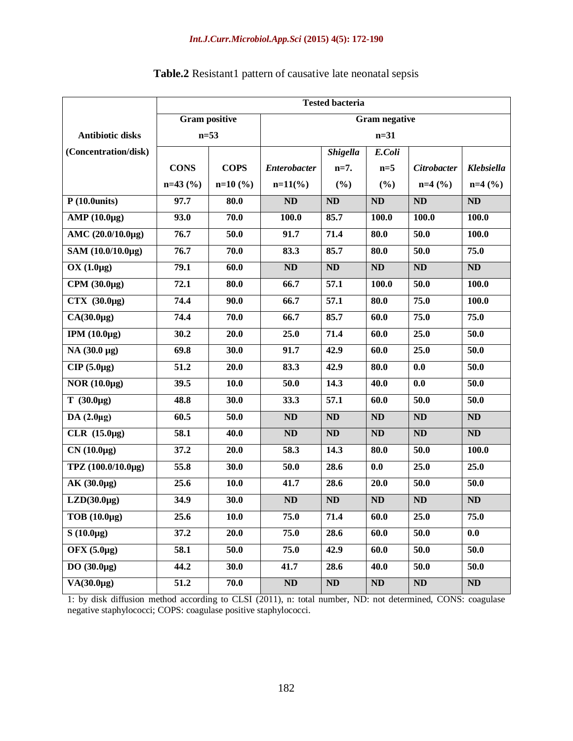#### *Int.J.Curr.Microbiol.App.Sci* **(2015) 4(5): 172-190**

|                                                   |                      | <b>Tested bacteria</b> |                        |                 |                        |                    |                        |  |  |
|---------------------------------------------------|----------------------|------------------------|------------------------|-----------------|------------------------|--------------------|------------------------|--|--|
|                                                   | <b>Gram positive</b> |                        | <b>Gram</b> negative   |                 |                        |                    |                        |  |  |
| <b>Antibiotic disks</b>                           | $n=53$               |                        | $n=31$                 |                 |                        |                    |                        |  |  |
| (Concentration/disk)                              |                      |                        |                        | <b>Shigella</b> | E.Coli                 |                    |                        |  |  |
|                                                   | <b>CONS</b>          | <b>COPS</b>            | <b>Enterobacter</b>    | $n=7$ .         | $n=5$                  | <b>Citrobacter</b> | Klebsiella             |  |  |
|                                                   | $n=43$ (%)           | $n=10(%)$              | $n=11(\%)$             | (%)             | (%)                    | $n=4$ (%)          | $n=4$ (%)              |  |  |
| P(10.0 units)                                     | 97.7                 | 80.0                   | <b>ND</b>              | ND              | <b>ND</b>              | <b>ND</b>          | ND                     |  |  |
| AMP(10.0µg)                                       | 93.0                 | 70.0                   | 100.0                  | 85.7            | 100.0                  | 100.0              | 100.0                  |  |  |
| AMC (20.0/10.0µg)                                 | 76.7                 | 50.0                   | 91.7                   | 71.4            | 80.0                   | 50.0               | 100.0                  |  |  |
| SAM (10.0/10.0μg)                                 | 76.7                 | 70.0                   | 83.3                   | 85.7            | 80.0                   | 50.0               | 75.0                   |  |  |
| $OX(1.0\mu g)$                                    | 79.1                 | 60.0                   | $\mathbf{N}\mathbf{D}$ | ND              | ND                     | ND                 | ND                     |  |  |
| CPM $(30.0\mu g)$                                 | 72.1                 | 80.0                   | 66.7                   | 57.1            | 100.0                  | 50.0               | 100.0                  |  |  |
| $CTX$ (30.0µg)                                    | 74.4                 | 90.0                   | 66.7                   | 57.1            | 80.0                   | 75.0               | 100.0                  |  |  |
| $CA(30.0\mu g)$                                   | 74.4                 | 70.0                   | 66.7                   | 85.7            | 60.0                   | 75.0               | 75.0                   |  |  |
| IPM $(10.0\mu g)$                                 | 30.2                 | 20.0                   | 25.0                   | 71.4            | 60.0                   | 25.0               | 50.0                   |  |  |
| $\overline{\text{NA} (30.0 \text{ }\mu\text{g})}$ | 69.8                 | 30.0                   | 91.7                   | 42.9            | 60.0                   | 25.0               | 50.0                   |  |  |
| $CIP(5.0\mu g)$                                   | 51.2                 | 20.0                   | 83.3                   | 42.9            | 80.0                   | 0.0                | 50.0                   |  |  |
| NOR $(10.0\mu g)$                                 | 39.5                 | 10.0                   | 50.0                   | 14.3            | 40.0                   | 0.0                | 50.0                   |  |  |
| $T(30.0\mu g)$                                    | 48.8                 | 30.0                   | 33.3                   | 57.1            | 60.0                   | 50.0               | 50.0                   |  |  |
| DA $(2.0\mu$ g)                                   | 60.5                 | 50.0                   | ND                     | $\mathbf{ND}$   | $\mathbf{N}\mathbf{D}$ | ND                 | $\mathbf{N}\mathbf{D}$ |  |  |
| CLR $(15.0\,\mu\text{g})$                         | 58.1                 | 40.0                   | ND                     | ND              | ND                     | ND                 | ND                     |  |  |
| $CN(10.0\mu g)$                                   | 37.2                 | 20.0                   | 58.3                   | 14.3            | 80.0                   | 50.0               | 100.0                  |  |  |
| TPZ (100.0/10.0μg)                                | 55.8                 | $\overline{30.0}$      | 50.0                   | 28.6            | 0.0                    | 25.0               | 25.0                   |  |  |
| $AK(30.0\mu g)$                                   | 25.6                 | 10.0                   | 41.7                   | 28.6            | 20.0                   | 50.0               | $\overline{50.0}$      |  |  |
| $LZD(30.0\mu g)$                                  | 34.9                 | 30.0                   | $\mathbf{N}\mathbf{D}$ | ND              | ND                     | ND                 | ND                     |  |  |
| $TOB(10.0\mu g)$                                  | 25.6                 | <b>10.0</b>            | 75.0                   | 71.4            | 60.0                   | <b>25.0</b>        | 75.0                   |  |  |
| $S(10.0\mu g)$                                    | 37.2                 | 20.0                   | 75.0                   | 28.6            | 60.0                   | 50.0               | 0.0                    |  |  |
| OFX $(5.0\mu g)$                                  | 58.1                 | 50.0                   | 75.0                   | 42.9            | 60.0                   | 50.0               | 50.0                   |  |  |
| DO $(30.0\mu g)$                                  | 44.2                 | 30.0                   | 41.7                   | 28.6            | 40.0                   | 50.0               | 50.0                   |  |  |
| $\overline{VA}(30.0\mu g)$                        | 51.2                 | 70.0                   | ND                     | ND              | ND                     | ND                 | ND                     |  |  |

# **Table.2** Resistant1 pattern of causative late neonatal sepsis

1: by disk diffusion method according to CLSI (2011), n: total number, ND: not determined, CONS: coagulase negative staphylococci; COPS: coagulase positive staphylococci.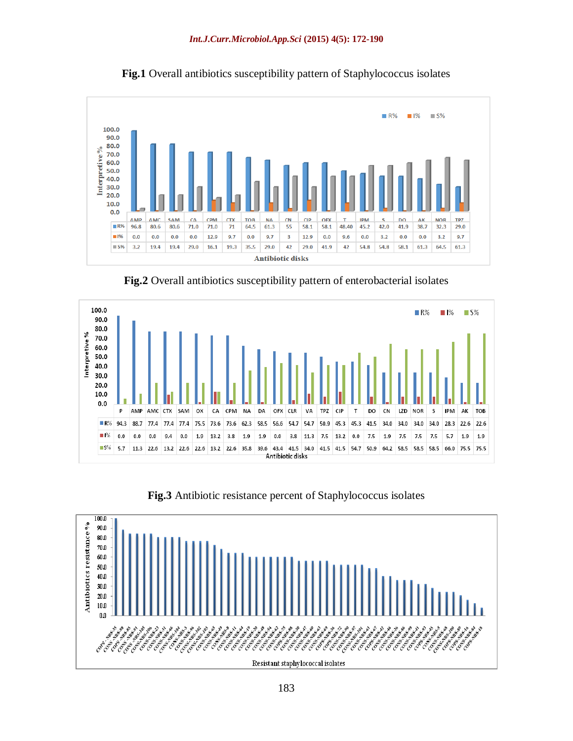

**Fig.1** Overall antibiotics susceptibility pattern of Staphylococcus isolates





**Fig.3** Antibiotic resistance percent of Staphylococcus isolates

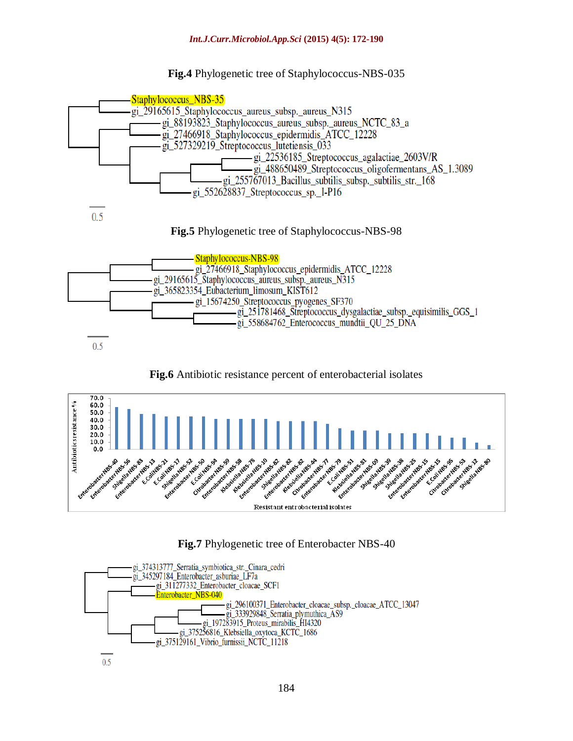#### **Fig.4** Phylogenetic tree of Staphylococcus-NBS-035



**Fig.6** Antibiotic resistance percent of enterobacterial isolates



#### **Fig.7** Phylogenetic tree of Enterobacter NBS-40



184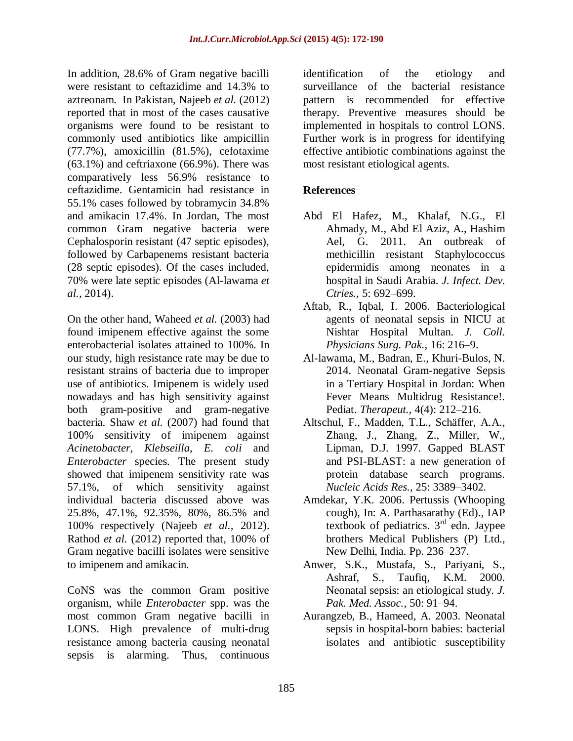In addition, 28.6% of Gram negative bacilli were resistant to ceftazidime and 14.3% to aztreonam. In Pakistan, Najeeb *et al.* (2012) reported that in most of the cases causative organisms were found to be resistant to commonly used antibiotics like ampicillin (77.7%), amoxicillin (81.5%), cefotaxime (63.1%) and ceftriaxone (66.9%). There was comparatively less 56.9% resistance to ceftazidime. Gentamicin had resistance in 55.1% cases followed by tobramycin 34.8% and amikacin 17.4%. In Jordan, The most common Gram negative bacteria were Cephalosporin resistant (47 septic episodes), followed by Carbapenems resistant bacteria (28 septic episodes). Of the cases included, 70% were late septic episodes (Al-lawama *et al.,* 2014).

On the other hand, Waheed *et al.* (2003) had found imipenem effective against the some enterobacterial isolates attained to 100%. In our study, high resistance rate may be due to resistant strains of bacteria due to improper use of antibiotics. Imipenem is widely used nowadays and has high sensitivity against both gram-positive and gram-negative bacteria. Shaw *et al.* (2007) had found that 100% sensitivity of imipenem against *Acinetobacter, Klebseilla*, *E. coli* and *Enterobacter* species. The present study showed that imipenem sensitivity rate was 57.1%, of which sensitivity against individual bacteria discussed above was 25.8%, 47.1%, 92.35%, 80%, 86.5% and 100% respectively (Najeeb *et al.,* 2012). Rathod *et al.* (2012) reported that, 100% of Gram negative bacilli isolates were sensitive to imipenem and amikacin.

CoNS was the common Gram positive organism, while *Enterobacter* spp. was the most common Gram negative bacilli in LONS. High prevalence of multi-drug resistance among bacteria causing neonatal sepsis is alarming. Thus, continuous

identification of the etiology and surveillance of the bacterial resistance pattern is recommended for effective therapy. Preventive measures should be implemented in hospitals to control LONS. Further work is in progress for identifying effective antibiotic combinations against the most resistant etiological agents.

## **References**

- Abd El Hafez, M., Khalaf, N.G., El Ahmady, M., Abd El Aziz, A., Hashim Ael, G. 2011. An outbreak of methicillin resistant Staphylococcus epidermidis among neonates in a hospital in Saudi Arabia. *J. Infect. Dev. Ctries.,* 5: 692–699.
- Aftab, R., Iqbal, I. 2006. Bacteriological agents of neonatal sepsis in NICU at Nishtar Hospital Multan. *J. Coll. Physicians Surg. Pak.,* 16: 216–9.
- Al-lawama, M., Badran, E., Khuri-Bulos, N. 2014. Neonatal Gram-negative Sepsis in a Tertiary Hospital in Jordan: When Fever Means Multidrug Resistance!. Pediat. *Therapeut.,* 4(4): 212–216.
- Altschul, F., Madden, T.L., Schäffer, A.A., Zhang, J., Zhang, Z., Miller, W., Lipman, D.J. 1997. Gapped BLAST and PSI-BLAST: a new generation of protein database search programs. *Nucleic Acids Res.,* 25: 3389–3402.
- Amdekar, Y.K. 2006. Pertussis (Whooping cough), In: A. Parthasarathy (Ed)., IAP textbook of pediatrics.  $3<sup>rd</sup>$  edn. Jaypee brothers Medical Publishers (P) Ltd., New Delhi, India. Pp. 236–237.
- Anwer, S.K., Mustafa, S., Pariyani, S., Ashraf, S., Taufiq, K.M. 2000. Neonatal sepsis: an etiological study. *J. Pak. Med. Assoc.,* 50: 91–94.
- Aurangzeb, B., Hameed, A. 2003. Neonatal sepsis in hospital-born babies: bacterial isolates and antibiotic susceptibility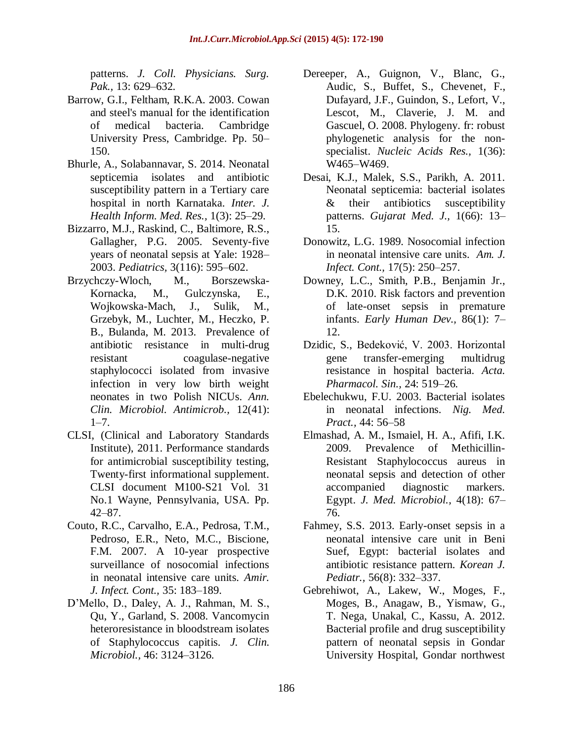patterns. *J. Coll. Physicians. Surg. Pak.,* 13: 629–632.

- Barrow, G.I., Feltham, R.K.A. 2003. Cowan and steel's manual for the identification of medical bacteria. Cambridge University Press, Cambridge. Pp. 50– 150.
- Bhurle, A., Solabannavar, S. 2014. Neonatal septicemia isolates and antibiotic susceptibility pattern in a Tertiary care hospital in north Karnataka. *Inter. J. Health Inform. Med. Res.,* 1(3): 25–29.
- Bizzarro, M.J., Raskind, C., Baltimore, R.S., Gallagher, P.G. 2005. Seventy-five years of neonatal sepsis at Yale: 1928– 2003. *Pediatrics,* 3(116): 595–602.
- Brzychczy-Wloch, M., Borszewska-Kornacka, M., Gulczynska, E., Wojkowska-Mach, J., Sulik, M., Grzebyk, M., Luchter, M., Heczko, P. B., Bulanda, M. 2013. Prevalence of antibiotic resistance in multi-drug resistant coagulase-negative staphylococci isolated from invasive infection in very low birth weight neonates in two Polish NICUs. *Ann. Clin. Microbiol. Antimicrob.,* 12(41):  $1 - 7$ .
- CLSI, (Clinical and Laboratory Standards Institute), 2011. Performance standards for antimicrobial susceptibility testing, Twenty-first informational supplement. CLSI document M100-S21 Vol. 31 No.1 Wayne, Pennsylvania, USA. Pp. 42–87.
- Couto, R.C., Carvalho, E.A., Pedrosa, T.M., Pedroso, E.R., Neto, M.C., Biscione, F.M. 2007. A 10-year prospective surveillance of nosocomial infections in neonatal intensive care units. *Amir. J. Infect. Cont.,* 35: 183–189.
- D'Mello, D., Daley, A. J., Rahman, M. S., Qu, Y., Garland, S. 2008. Vancomycin heteroresistance in bloodstream isolates of Staphylococcus capitis. *J. Clin. Microbiol.,* 46: 3124–3126.
- Dereeper, A., Guignon, V., Blanc, G., Audic, S., Buffet, S., Chevenet, F., Dufayard, J.F., Guindon, S., Lefort, V., Lescot, M., Claverie, J. M. and Gascuel, O. 2008. Phylogeny. fr: robust phylogenetic analysis for the nonspecialist. *Nucleic Acids Res.,* 1(36): W465–W469.
- Desai, K.J., Malek, S.S., Parikh, A. 2011. Neonatal septicemia: bacterial isolates & their antibiotics susceptibility patterns. *Gujarat Med. J.,* 1(66): 13– 15.
- Donowitz, L.G. 1989. Nosocomial infection in neonatal intensive care units. *Am. J. Infect. Cont.,* 17(5): 250–257.
- Downey, L.C., Smith, P.B., Benjamin Jr., D.K. 2010. Risk factors and prevention of late-onset sepsis in premature infants. *Early Human Dev.,* 86(1): 7– 12.
- Dzidic, S., Bedeković, V. 2003. Horizontal gene transfer-emerging multidrug resistance in hospital bacteria. *Acta. Pharmacol. Sin.,* 24: 519–26.
- Ebelechukwu, F.U. 2003. Bacterial isolates in neonatal infections. *Nig. Med. Pract.,* 44: 56–58
- Elmashad, A. M., Ismaiel, H. A., Afifi, I.K. 2009. Prevalence of Methicillin-Resistant Staphylococcus aureus in neonatal sepsis and detection of other accompanied diagnostic markers. Egypt. *J. Med. Microbiol.,* 4(18): 67– 76.
- Fahmey, S.S. 2013. Early-onset sepsis in a neonatal intensive care unit in Beni Suef, Egypt: bacterial isolates and antibiotic resistance pattern. *Korean J. Pediatr.,* 56(8): 332–337.
- Gebrehiwot, A., Lakew, W., Moges, F., Moges, B., Anagaw, B., Yismaw, G., T. Nega, Unakal, C., Kassu, A. 2012. Bacterial profile and drug susceptibility pattern of neonatal sepsis in Gondar University Hospital, Gondar northwest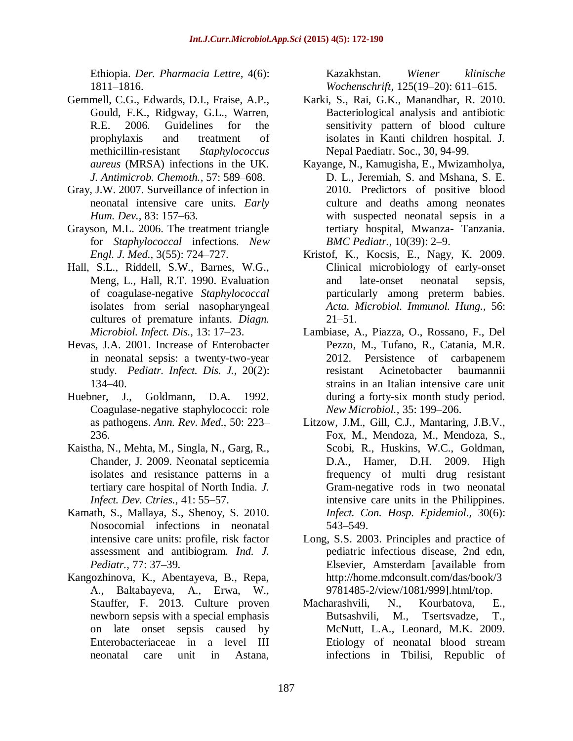Ethiopia. *Der. Pharmacia Lettre,* 4(6): 1811–1816.

- Gemmell, C.G., Edwards, D.I., Fraise, A.P., Gould, F.K., Ridgway, G.L., Warren, R.E. 2006. Guidelines for the prophylaxis and treatment of methicillin-resistant *Staphylococcus aureus* (MRSA) infections in the UK. *J. Antimicrob. Chemoth.,* 57: 589–608.
- Gray, J.W. 2007. Surveillance of infection in neonatal intensive care units. *Early Hum. Dev.,* 83: 157–63.
- Grayson, M.L. 2006. The treatment triangle for *Staphylococcal* infections. *New Engl. J. Med.,* 3(55): 724–727.
- Hall, S.L., Riddell, S.W., Barnes, W.G., Meng, L., Hall, R.T. 1990. Evaluation of coagulase-negative *Staphylococcal*  isolates from serial nasopharyngeal cultures of premature infants. *Diagn. Microbiol. Infect. Dis.,* 13: 17–23.
- Hevas, J.A. 2001. Increase of Enterobacter in neonatal sepsis: a twenty-two-year study. *Pediatr. Infect. Dis. J.,* 20(2): 134–40.
- Huebner, J., Goldmann, D.A. 1992. Coagulase-negative staphylococci: role as pathogens. *Ann. Rev. Med.,* 50: 223– 236.
- Kaistha, N., Mehta, M., Singla, N., Garg, R., Chander, J. 2009. Neonatal septicemia isolates and resistance patterns in a tertiary care hospital of North India. *J. Infect. Dev. Ctries.,* 41: 55–57.
- Kamath, S., Mallaya, S., Shenoy, S. 2010. Nosocomial infections in neonatal intensive care units: profile, risk factor assessment and antibiogram. *Ind. J. Pediatr.,* 77: 37–39.
- Kangozhinova, K., Abentayeva, B., Repa, A., Baltabayeva, A., Erwa, W., Stauffer, F. 2013. Culture proven newborn sepsis with a special emphasis on late onset sepsis caused by Enterobacteriaceae in a level III neonatal care unit in Astana,

Kazakhstan. *Wiener klinische Wochenschrift,* 125(19–20): 611–615.

- Karki, S., Rai, G.K., Manandhar, R. 2010. Bacteriological analysis and antibiotic sensitivity pattern of blood culture isolates in Kanti children hospital. J. Nepal Paediatr. Soc., 30, 94-99.
- Kayange, N., Kamugisha, E., Mwizamholya, D. L., Jeremiah, S. and Mshana, S. E. 2010. Predictors of positive blood culture and deaths among neonates with suspected neonatal sepsis in a tertiary hospital, Mwanza- Tanzania. *BMC Pediatr.,* 10(39): 2–9.
- Kristof, K., Kocsis, E., Nagy, K. 2009. Clinical microbiology of early-onset and late-onset neonatal sepsis, particularly among preterm babies. *Acta. Microbiol. Immunol. Hung.,* 56: 21–51.
- Lambiase, A., Piazza, O., Rossano, F., Del Pezzo, M., Tufano, R., Catania, M.R. 2012. Persistence of carbapenem resistant Acinetobacter baumannii strains in an Italian intensive care unit during a forty-six month study period. *New Microbiol.,* 35: 199–206.
- Litzow, J.M., Gill, C.J., Mantaring, J.B.V., Fox, M., Mendoza, M., Mendoza, S., Scobi, R., Huskins, W.C., Goldman, D.A., Hamer, D.H. 2009. High frequency of multi drug resistant Gram-negative rods in two neonatal intensive care units in the Philippines. *Infect. Con. Hosp. Epidemiol.,* 30(6): 543–549.
- Long, S.S. 2003. Principles and practice of pediatric infectious disease, 2nd edn, Elsevier, Amsterdam [available from http://home.mdconsult.com/das/book/3 9781485-2/view/1081/999].html/top.
- Macharashvili, N., Kourbatova, E., Butsashvili, M., Tsertsvadze, T., McNutt, L.A., Leonard, M.K. 2009. Etiology of neonatal blood stream infections in Tbilisi, Republic of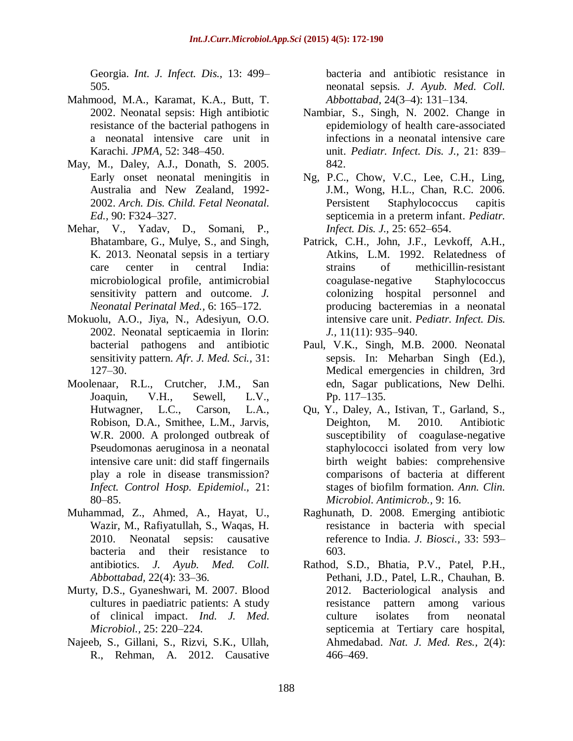Georgia. *Int. J. Infect. Dis.,* 13: 499– 505.

- Mahmood, M.A., Karamat, K.A., Butt, T. 2002. Neonatal sepsis: High antibiotic resistance of the bacterial pathogens in a neonatal intensive care unit in Karachi. *JPMA,* 52: 348–450.
- May, M., Daley, A.J., Donath, S. 2005. Early onset neonatal meningitis in Australia and New Zealand, 1992- 2002. *Arch. Dis. Child. Fetal Neonatal. Ed.,* 90: F324–327.
- Mehar, V., Yadav, D., Somani, P., Bhatambare, G., Mulye, S., and Singh, K. 2013. Neonatal sepsis in a tertiary care center in central India: microbiological profile, antimicrobial sensitivity pattern and outcome. *J. Neonatal Perinatal Med.,* 6: 165–172.
- Mokuolu, A.O., Jiya, N., Adesiyun, O.O. 2002. Neonatal septicaemia in Ilorin: bacterial pathogens and antibiotic sensitivity pattern. *Afr. J. Med. Sci.,* 31: 127–30.
- Moolenaar, R.L., Crutcher, J.M., San Joaquin, V.H., Sewell, L.V., Hutwagner, L.C., Carson, L.A., Robison, D.A., Smithee, L.M., Jarvis, W.R. 2000. A prolonged outbreak of Pseudomonas aeruginosa in a neonatal intensive care unit: did staff fingernails play a role in disease transmission? *Infect. Control Hosp. Epidemiol.,* 21: 80–85.
- Muhammad, Z., Ahmed, A., Hayat, U., Wazir, M., Rafiyatullah, S., Waqas, H. 2010. Neonatal sepsis: causative bacteria and their resistance to antibiotics. *J. Ayub. Med. Coll. Abbottabad,* 22(4): 33–36.
- Murty, D.S., Gyaneshwari, M. 2007. Blood cultures in paediatric patients: A study of clinical impact. *Ind. J. Med. Microbiol.,* 25: 220–224.
- Najeeb, S., Gillani, S., Rizvi, S.K., Ullah, R., Rehman, A. 2012. Causative

bacteria and antibiotic resistance in neonatal sepsis. *J. Ayub. Med. Coll. Abbottabad,* 24(3–4): 131–134.

- Nambiar, S., Singh, N. 2002. Change in epidemiology of health care-associated infections in a neonatal intensive care unit. *Pediatr. Infect. Dis. J.,* 21: 839– 842.
- Ng, P.C., Chow, V.C., Lee, C.H., Ling, J.M., Wong, H.L., Chan, R.C. 2006. Persistent Staphylococcus capitis septicemia in a preterm infant. *Pediatr. Infect. Dis. J.,* 25: 652–654.
- Patrick, C.H., John, J.F., Levkoff, A.H., Atkins, L.M. 1992. Relatedness of strains of methicillin-resistant coagulase-negative Staphylococcus colonizing hospital personnel and producing bacteremias in a neonatal intensive care unit. *Pediatr. Infect. Dis. J.,* 11(11): 935–940.
- Paul, V.K., Singh, M.B. 2000. Neonatal sepsis. In: Meharban Singh (Ed.), Medical emergencies in children, 3rd edn, Sagar publications, New Delhi. Pp. 117–135.
- Qu, Y., Daley, A., Istivan, T., Garland, S., Deighton, M. 2010. Antibiotic susceptibility of coagulase-negative staphylococci isolated from very low birth weight babies: comprehensive comparisons of bacteria at different stages of biofilm formation. *Ann. Clin. Microbiol. Antimicrob.,* 9: 16.
- Raghunath, D. 2008. Emerging antibiotic resistance in bacteria with special reference to India. *J. Biosci.,* 33: 593– 603.
- Rathod, S.D., Bhatia, P.V., Patel, P.H., Pethani, J.D., Patel, L.R., Chauhan, B. 2012. Bacteriological analysis and resistance pattern among various culture isolates from neonatal septicemia at Tertiary care hospital, Ahmedabad. *Nat. J. Med. Res.,* 2(4): 466–469.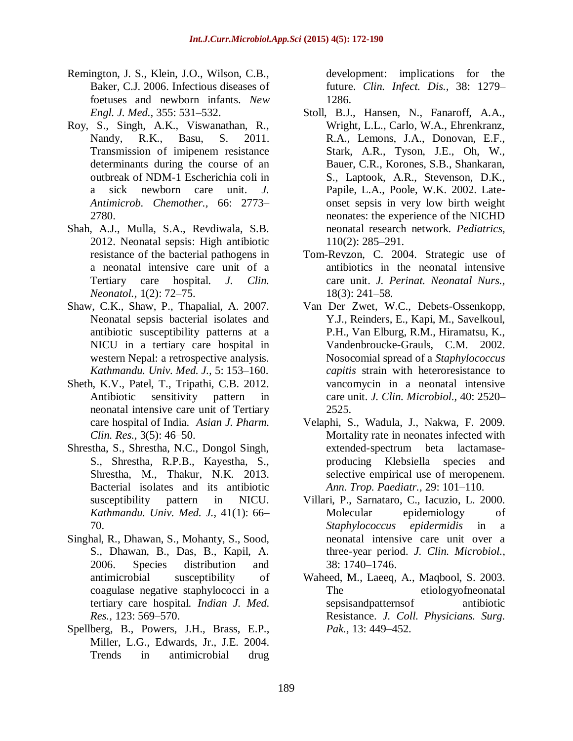- Remington, J. S., Klein, J.O., Wilson, C.B., Baker, C.J. 2006. Infectious diseases of foetuses and newborn infants. *New Engl. J. Med.,* 355: 531–532.
- Roy, S., Singh, A.K., Viswanathan, R., Nandy, R.K., Basu, S. 2011. Transmission of imipenem resistance determinants during the course of an outbreak of NDM-1 Escherichia coli in a sick newborn care unit. *J. Antimicrob. Chemother.,* 66: 2773– 2780.
- Shah, A.J., Mulla, S.A., Revdiwala, S.B. 2012. Neonatal sepsis: High antibiotic resistance of the bacterial pathogens in a neonatal intensive care unit of a Tertiary care hospital. *J. Clin. Neonatol.,* 1(2): 72–75.
- Shaw, C.K., Shaw, P., Thapalial, A. 2007. Neonatal sepsis bacterial isolates and antibiotic susceptibility patterns at a NICU in a tertiary care hospital in western Nepal: a retrospective analysis. *Kathmandu. Univ. Med. J.,* 5: 153–160.
- Sheth, K.V., Patel, T., Tripathi, C.B. 2012. Antibiotic sensitivity pattern in neonatal intensive care unit of Tertiary care hospital of India. *Asian J. Pharm. Clin. Res.,* 3(5): 46–50.
- Shrestha, S., Shrestha, N.C., Dongol Singh, S., Shrestha, R.P.B., Kayestha, S., Shrestha, M., Thakur, N.K. 2013. Bacterial isolates and its antibiotic susceptibility pattern in NICU. *Kathmandu. Univ. Med. J.,* 41(1): 66– 70.
- Singhal, R., Dhawan, S., Mohanty, S., Sood, S., Dhawan, B., Das, B., Kapil, A. 2006. Species distribution and antimicrobial susceptibility of coagulase negative staphylococci in a tertiary care hospital. *Indian J. Med. Res.,* 123: 569–570.
- Spellberg, B., Powers, J.H., Brass, E.P., Miller, L.G., Edwards, Jr., J.E. 2004. Trends in antimicrobial drug

development: implications for the future. *Clin. Infect. Dis.,* 38: 1279– 1286.

- Stoll, B.J., Hansen, N., Fanaroff, A.A., Wright, L.L., Carlo, W.A., Ehrenkranz, R.A., Lemons, J.A., Donovan, E.F., Stark, A.R., Tyson, J.E., Oh, W., Bauer, C.R., Korones, S.B., Shankaran, S., Laptook, A.R., Stevenson, D.K., Papile, L.A., Poole, W.K. 2002. Lateonset sepsis in very low birth weight neonates: the experience of the NICHD neonatal research network. *Pediatrics,* 110(2): 285–291.
- Tom-Revzon, C. 2004. Strategic use of antibiotics in the neonatal intensive care unit. *J. Perinat. Neonatal Nurs.,*  18(3): 241–58.
- Van Der Zwet, W.C., Debets-Ossenkopp, Y.J., Reinders, E., Kapi, M., Savelkoul, P.H., Van Elburg, R.M., Hiramatsu, K., Vandenbroucke-Grauls, C.M. 2002. Nosocomial spread of a *Staphylococcus capitis* strain with heteroresistance to vancomycin in a neonatal intensive care unit. *J. Clin. Microbiol.,* 40: 2520– 2525.
- Velaphi, S., Wadula, J., Nakwa, F. 2009. Mortality rate in neonates infected with extended-spectrum beta lactamaseproducing Klebsiella species and selective empirical use of meropenem. *Ann. Trop. Paediatr.,* 29: 101–110.
- Villari, P., Sarnataro, C., Iacuzio, L. 2000. Molecular epidemiology of *Staphylococcus epidermidis* in a neonatal intensive care unit over a three-year period. *J. Clin. Microbiol.,* 38: 1740–1746.
- Waheed, M., Laeeq, A., Maqbool, S. 2003. The etiologyofneonatal sepsisandpatternsof antibiotic Resistance. *J. Coll. Physicians. Surg. Pak.,* 13: 449–452.